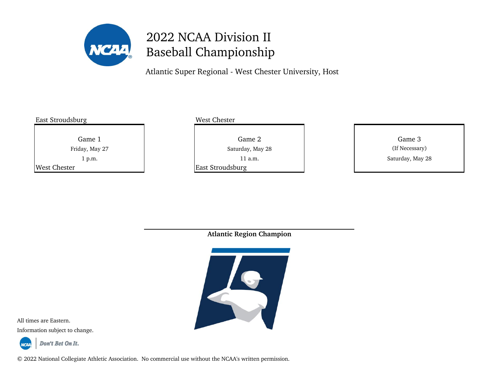

Atlantic Super Regional - West Chester University, Host

| West Chester                  |                          |
|-------------------------------|--------------------------|
| Game 2                        | Game 3<br>(If Necessary) |
| $11$ a.m.<br>East Stroudsburg | Saturday, May 28         |
|                               | Saturday, May 28         |

**Atlantic Region Champion**



All times are Eastern. Information subject to change.



Don't Bet On It.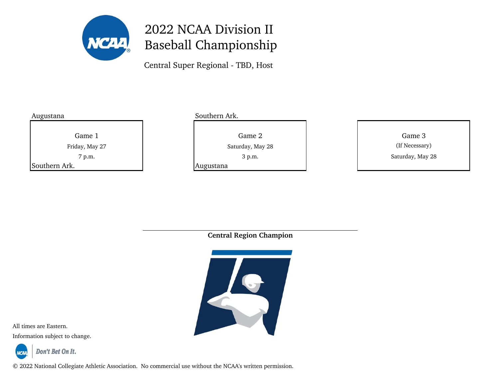

Central Super Regional - TBD, Host

| Augustana     |                |
|---------------|----------------|
|               |                |
|               | Game 1         |
|               | Friday, May 27 |
|               | 7 p.m.         |
| Southern Ark. |                |

#### Southern Ark.

Game 1 Game 2 Game 2 Game 2 Game 3 Game 3 Game 3

Augustana

3 p.m. Saturday, May 28 Saturday, May 28 (If Necessary)

**Central Region Champion**



All times are Eastern.

Information subject to change.

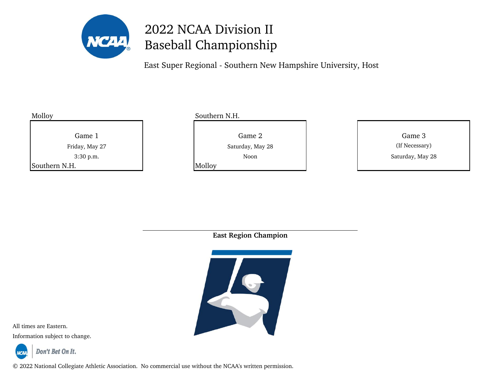

East Super Regional - Southern New Hampshire University, Host

| Molloy         | Southern N.H.    |                  |  |
|----------------|------------------|------------------|--|
| Game 1         | Game 2           | Game 3           |  |
| Friday, May 27 | Saturday, May 28 | (If Necessary)   |  |
| 3:30 p.m.      | Noon             | Saturday, May 28 |  |
| Southern N.H.  | Molloy           |                  |  |
|                |                  |                  |  |

**East Region Champion**



All times are Eastern.

Information subject to change.

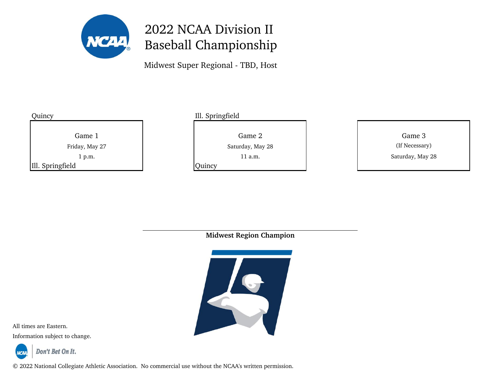

Midwest Super Regional - TBD, Host

| Quincy           |                |
|------------------|----------------|
|                  |                |
|                  | Game 1         |
|                  | Friday, May 27 |
|                  | 1 p.m.         |
| Ill. Springfield |                |

### Ill. Springfield

**Quincy** 

Game 1 Game 2 Game 2 Game 2 Game 3 Game 3 Game 3

11 a.m. Saturday, May 28 Saturday, May 28 (If Necessary)

**Midwest Region Champion**



All times are Eastern.

Information subject to change.

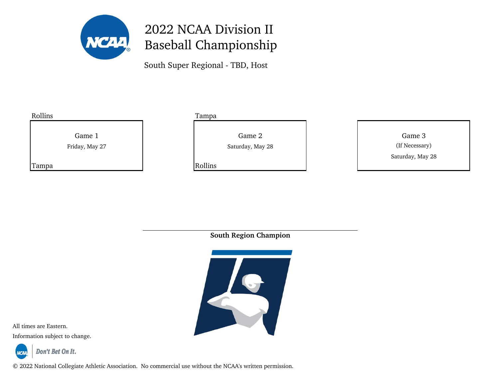

South Super Regional - TBD, Host



**South Region Champion**



All times are Eastern.

Information subject to change.

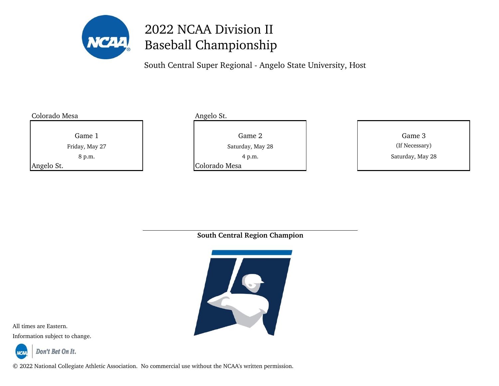

South Central Super Regional - Angelo State University, Host

Colorado Mesa **Angelo St.** Angelo St.

8 p.m.

Game 1 Game 2 Game 2 Game 2 Game 3 Game 3 Game 3 Friday, May 27 **If New York Constructs** Saturday, May 28

Angelo St. **Colorado Mesa** 

| iame 2      | Game 3           |
|-------------|------------------|
| day, May 28 | (If Necessary)   |
| 4 p.m.      | Saturday, May 28 |
|             |                  |

**South Central Region Champion**



All times are Eastern.

Information subject to change.

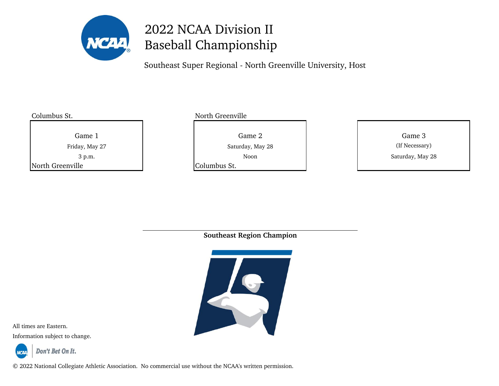

Southeast Super Regional - North Greenville University, Host

3 p.m.

Columbus St. North Greenville

Game 1 Game 2 Game 2 Game 2 Game 3 Game 3 Game 3

North Greenville **Columbus St.** Columbus St.

Noon Saturday, May 28 Friday, May 27 **Saturday, May 28** Saturday, May 28 (If Necessary)

**Southeast Region Champion**



All times are Eastern.

Information subject to change.



Don't Bet On It.